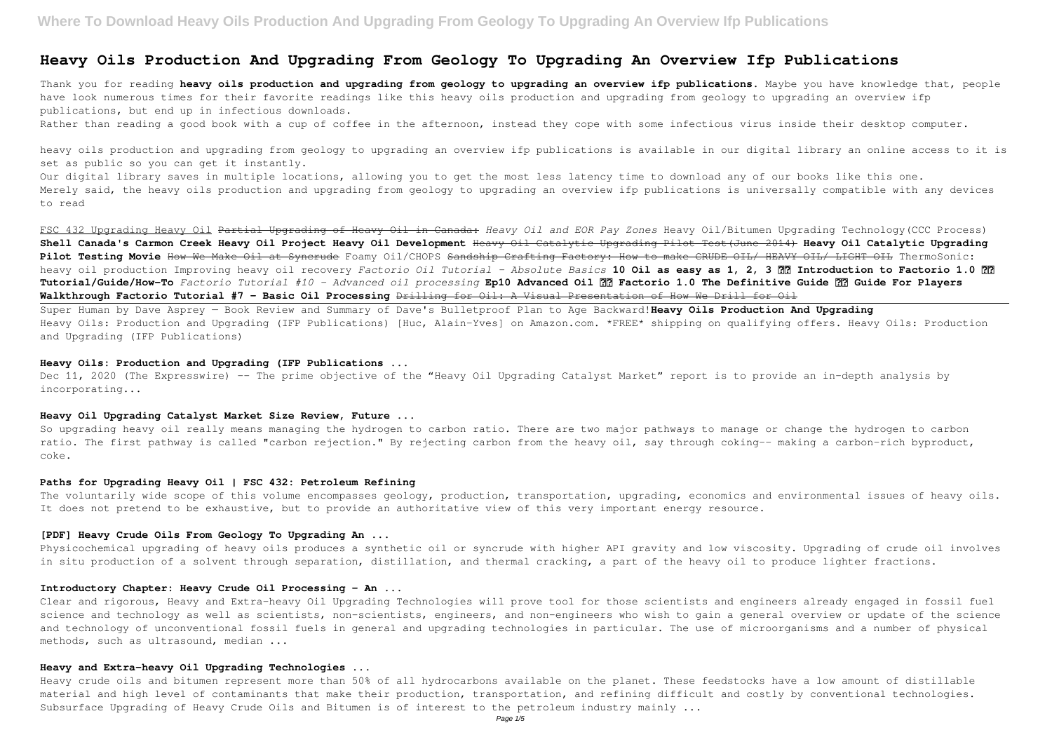## **Heavy Oils Production And Upgrading From Geology To Upgrading An Overview Ifp Publications**

Thank you for reading **heavy oils production and upgrading from geology to upgrading an overview ifp publications**. Maybe you have knowledge that, people have look numerous times for their favorite readings like this heavy oils production and upgrading from geology to upgrading an overview ifp publications, but end up in infectious downloads.

Rather than reading a good book with a cup of coffee in the afternoon, instead they cope with some infectious virus inside their desktop computer.

heavy oils production and upgrading from geology to upgrading an overview ifp publications is available in our digital library an online access to it is set as public so you can get it instantly.

Our digital library saves in multiple locations, allowing you to get the most less latency time to download any of our books like this one. Merely said, the heavy oils production and upgrading from geology to upgrading an overview ifp publications is universally compatible with any devices to read

Dec 11, 2020 (The Expresswire) -- The prime objective of the "Heavy Oil Upgrading Catalyst Market" report is to provide an in-depth analysis by incorporating...

FSC 432 Upgrading Heavy Oil Partial Upgrading of Heavy Oil in Canada: *Heavy Oil and EOR Pay Zones* Heavy Oil/Bitumen Upgrading Technology(CCC Process) **Shell Canada's Carmon Creek Heavy Oil Project Heavy Oil Development** Heavy Oil Catalytic Upgrading Pilot Test(June 2014) **Heavy Oil Catalytic Upgrading Pilot Testing Movie** How We Make Oil at Syncrude Foamy Oil/CHOPS Sandship Crafting Factory: How to make CRUDE OIL/ HEAVY OIL/ LIGHT OIL ThermoSonic: heavy oil production Improving heavy oil recovery *Factorio Oil Tutorial - Absolute Basics* 10 Oil as easy as 1, 2, 3 ?? Introduction to Factorio 1.0 ?? **Tutorial/Guide/How-To** *Factorio Tutorial #10 - Advanced oil processing* **Ep10 Advanced Oil ⚙️ Factorio 1.0 The Definitive Guide ⚙️ Guide For Players Walkthrough Factorio Tutorial #7 - Basic Oil Processing** Drilling for Oil: A Visual Presentation of How We Drill for Oil

Super Human by Dave Asprey — Book Review and Summary of Dave's Bulletproof Plan to Age Backward!**Heavy Oils Production And Upgrading** Heavy Oils: Production and Upgrading (IFP Publications) [Huc, Alain-Yves] on Amazon.com. \*FREE\* shipping on qualifying offers. Heavy Oils: Production and Upgrading (IFP Publications)

#### **Heavy Oils: Production and Upgrading (IFP Publications ...**

#### **Heavy Oil Upgrading Catalyst Market Size Review, Future ...**

So upgrading heavy oil really means managing the hydrogen to carbon ratio. There are two major pathways to manage or change the hydrogen to carbon ratio. The first pathway is called "carbon rejection." By rejecting carbon from the heavy oil, say through coking-- making a carbon-rich byproduct, coke.

#### **Paths for Upgrading Heavy Oil | FSC 432: Petroleum Refining**

The voluntarily wide scope of this volume encompasses geology, production, transportation, upgrading, economics and environmental issues of heavy oils. It does not pretend to be exhaustive, but to provide an authoritative view of this very important energy resource.

#### **[PDF] Heavy Crude Oils From Geology To Upgrading An ...**

Physicochemical upgrading of heavy oils produces a synthetic oil or syncrude with higher API gravity and low viscosity. Upgrading of crude oil involves in situ production of a solvent through separation, distillation, and thermal cracking, a part of the heavy oil to produce lighter fractions.

### **Introductory Chapter: Heavy Crude Oil Processing - An ...**

Clear and rigorous, Heavy and Extra-heavy Oil Upgrading Technologies will prove tool for those scientists and engineers already engaged in fossil fuel science and technology as well as scientists, non-scientists, engineers, and non-engineers who wish to gain a general overview or update of the science and technology of unconventional fossil fuels in general and upgrading technologies in particular. The use of microorganisms and a number of physical methods, such as ultrasound, median ...

### **Heavy and Extra-heavy Oil Upgrading Technologies ...**

Heavy crude oils and bitumen represent more than 50% of all hydrocarbons available on the planet. These feedstocks have a low amount of distillable material and high level of contaminants that make their production, transportation, and refining difficult and costly by conventional technologies. Subsurface Upgrading of Heavy Crude Oils and Bitumen is of interest to the petroleum industry mainly ...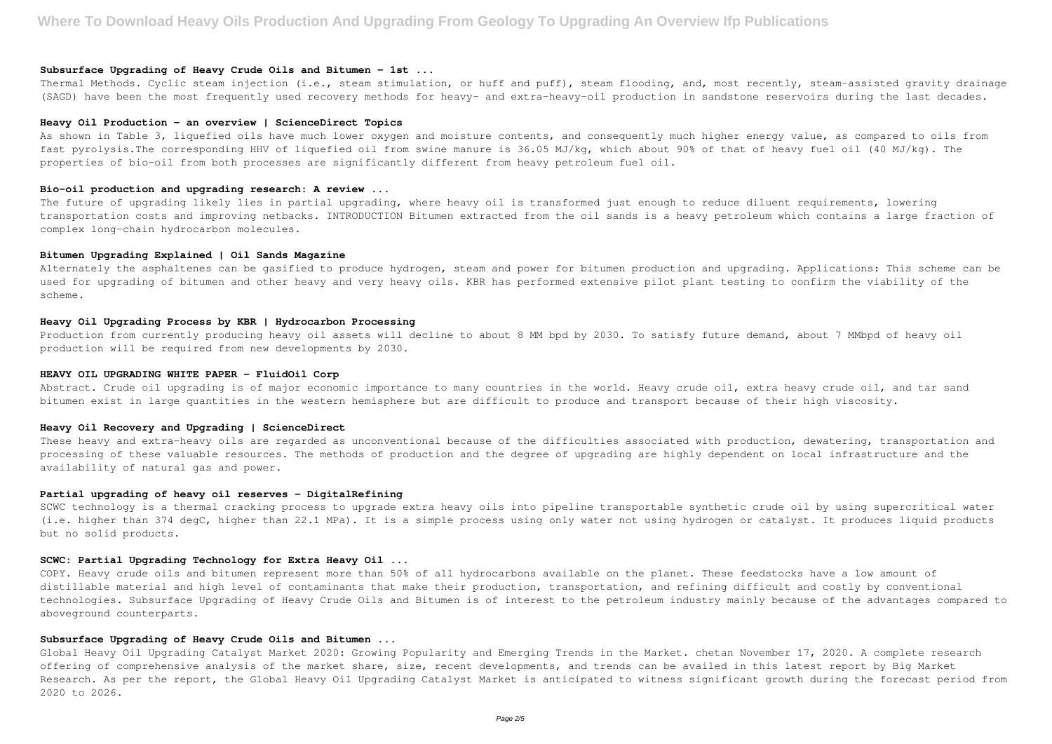#### **Subsurface Upgrading of Heavy Crude Oils and Bitumen - 1st ...**

Thermal Methods. Cyclic steam injection (i.e., steam stimulation, or huff and puff), steam flooding, and, most recently, steam-assisted gravity drainage (SAGD) have been the most frequently used recovery methods for heavy- and extra-heavy-oil production in sandstone reservoirs during the last decades.

#### **Heavy Oil Production - an overview | ScienceDirect Topics**

The future of upgrading likely lies in partial upgrading, where heavy oil is transformed just enough to reduce diluent requirements, lowering transportation costs and improving netbacks. INTRODUCTION Bitumen extracted from the oil sands is a heavy petroleum which contains a large fraction of complex long-chain hydrocarbon molecules.

As shown in Table 3, liquefied oils have much lower oxygen and moisture contents, and consequently much higher energy value, as compared to oils from fast pyrolysis.The corresponding HHV of liquefied oil from swine manure is 36.05 MJ/kg, which about 90% of that of heavy fuel oil (40 MJ/kg). The properties of bio-oil from both processes are significantly different from heavy petroleum fuel oil.

Alternately the asphaltenes can be gasified to produce hydrogen, steam and power for bitumen production and upgrading. Applications: This scheme can be used for upgrading of bitumen and other heavy and very heavy oils. KBR has performed extensive pilot plant testing to confirm the viability of the scheme.

#### **Bio-oil production and upgrading research: A review ...**

Abstract. Crude oil upgrading is of major economic importance to many countries in the world. Heavy crude oil, extra heavy crude oil, and tar sand bitumen exist in large quantities in the western hemisphere but are difficult to produce and transport because of their high viscosity.

These heavy and extra-heavy oils are regarded as unconventional because of the difficulties associated with production, dewatering, transportation and processing of these valuable resources. The methods of production and the degree of upgrading are highly dependent on local infrastructure and the availability of natural gas and power.

#### **Bitumen Upgrading Explained | Oil Sands Magazine**

#### **Heavy Oil Upgrading Process by KBR | Hydrocarbon Processing**

Production from currently producing heavy oil assets will decline to about 8 MM bpd by 2030. To satisfy future demand, about 7 MMbpd of heavy oil production will be required from new developments by 2030.

#### **HEAVY OIL UPGRADING WHITE PAPER - FluidOil Corp**

#### **Heavy Oil Recovery and Upgrading | ScienceDirect**

#### **Partial upgrading of heavy oil reserves - DigitalRefining**

SCWC technology is a thermal cracking process to upgrade extra heavy oils into pipeline transportable synthetic crude oil by using supercritical water (i.e. higher than 374 degC, higher than 22.1 MPa). It is a simple process using only water not using hydrogen or catalyst. It produces liquid products but no solid products.

#### **SCWC: Partial Upgrading Technology for Extra Heavy Oil ...**

COPY. Heavy crude oils and bitumen represent more than 50% of all hydrocarbons available on the planet. These feedstocks have a low amount of distillable material and high level of contaminants that make their production, transportation, and refining difficult and costly by conventional technologies. Subsurface Upgrading of Heavy Crude Oils and Bitumen is of interest to the petroleum industry mainly because of the advantages compared to aboveground counterparts.

#### **Subsurface Upgrading of Heavy Crude Oils and Bitumen ...**

Global Heavy Oil Upgrading Catalyst Market 2020: Growing Popularity and Emerging Trends in the Market. chetan November 17, 2020. A complete research offering of comprehensive analysis of the market share, size, recent developments, and trends can be availed in this latest report by Big Market Research. As per the report, the Global Heavy Oil Upgrading Catalyst Market is anticipated to witness significant growth during the forecast period from 2020 to 2026.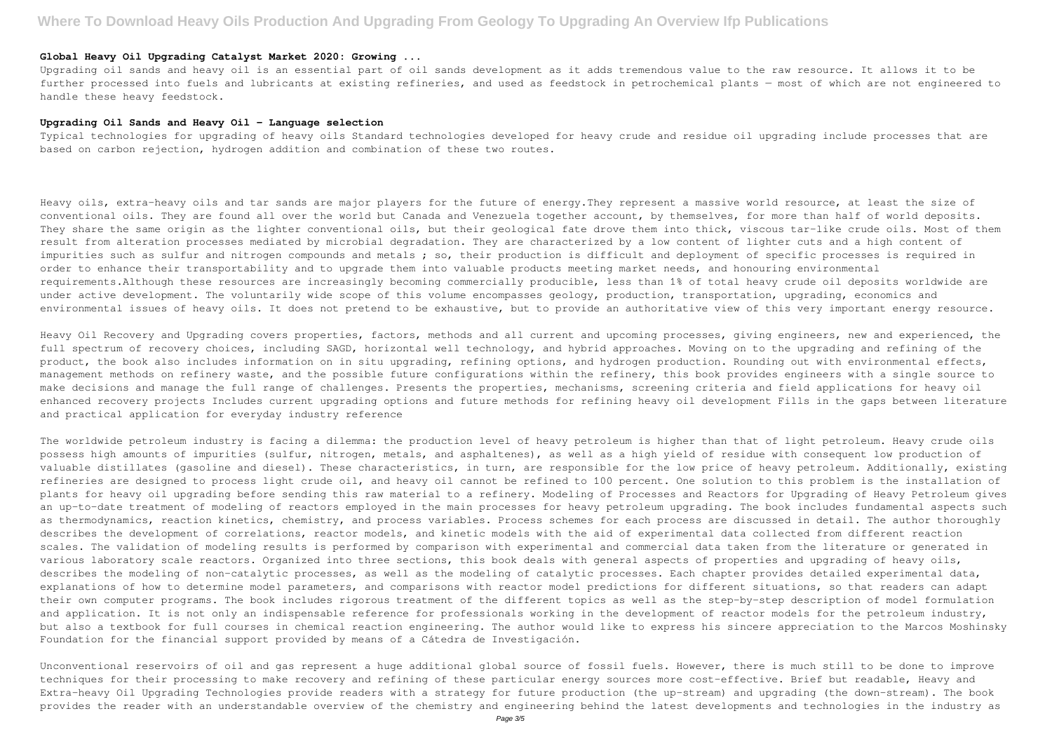#### **Global Heavy Oil Upgrading Catalyst Market 2020: Growing ...**

Upgrading oil sands and heavy oil is an essential part of oil sands development as it adds tremendous value to the raw resource. It allows it to be further processed into fuels and lubricants at existing refineries, and used as feedstock in petrochemical plants — most of which are not engineered to handle these heavy feedstock.

#### **Upgrading Oil Sands and Heavy Oil - Language selection**

Typical technologies for upgrading of heavy oils Standard technologies developed for heavy crude and residue oil upgrading include processes that are based on carbon rejection, hydrogen addition and combination of these two routes.

Heavy oils, extra-heavy oils and tar sands are major players for the future of energy.They represent a massive world resource, at least the size of conventional oils. They are found all over the world but Canada and Venezuela together account, by themselves, for more than half of world deposits. They share the same origin as the lighter conventional oils, but their geological fate drove them into thick, viscous tar-like crude oils. Most of them result from alteration processes mediated by microbial degradation. They are characterized by a low content of lighter cuts and a high content of impurities such as sulfur and nitrogen compounds and metals; so, their production is difficult and deployment of specific processes is required in order to enhance their transportability and to upgrade them into valuable products meeting market needs, and honouring environmental requirements.Although these resources are increasingly becoming commercially producible, less than 1% of total heavy crude oil deposits worldwide are under active development. The voluntarily wide scope of this volume encompasses geology, production, transportation, upgrading, economics and environmental issues of heavy oils. It does not pretend to be exhaustive, but to provide an authoritative view of this very important energy resource.

Heavy Oil Recovery and Upgrading covers properties, factors, methods and all current and upcoming processes, giving engineers, new and experienced, the full spectrum of recovery choices, including SAGD, horizontal well technology, and hybrid approaches. Moving on to the upgrading and refining of the product, the book also includes information on in situ upgrading, refining options, and hydrogen production. Rounding out with environmental effects, management methods on refinery waste, and the possible future configurations within the refinery, this book provides engineers with a single source to make decisions and manage the full range of challenges. Presents the properties, mechanisms, screening criteria and field applications for heavy oil enhanced recovery projects Includes current upgrading options and future methods for refining heavy oil development Fills in the gaps between literature and practical application for everyday industry reference

The worldwide petroleum industry is facing a dilemma: the production level of heavy petroleum is higher than that of light petroleum. Heavy crude oils possess high amounts of impurities (sulfur, nitrogen, metals, and asphaltenes), as well as a high yield of residue with consequent low production of valuable distillates (gasoline and diesel). These characteristics, in turn, are responsible for the low price of heavy petroleum. Additionally, existing refineries are designed to process light crude oil, and heavy oil cannot be refined to 100 percent. One solution to this problem is the installation of plants for heavy oil upgrading before sending this raw material to a refinery. Modeling of Processes and Reactors for Upgrading of Heavy Petroleum gives an up-to-date treatment of modeling of reactors employed in the main processes for heavy petroleum upgrading. The book includes fundamental aspects such as thermodynamics, reaction kinetics, chemistry, and process variables. Process schemes for each process are discussed in detail. The author thoroughly describes the development of correlations, reactor models, and kinetic models with the aid of experimental data collected from different reaction scales. The validation of modeling results is performed by comparison with experimental and commercial data taken from the literature or generated in various laboratory scale reactors. Organized into three sections, this book deals with general aspects of properties and upgrading of heavy oils, describes the modeling of non-catalytic processes, as well as the modeling of catalytic processes. Each chapter provides detailed experimental data, explanations of how to determine model parameters, and comparisons with reactor model predictions for different situations, so that readers can adapt their own computer programs. The book includes rigorous treatment of the different topics as well as the step-by-step description of model formulation and application. It is not only an indispensable reference for professionals working in the development of reactor models for the petroleum industry, but also a textbook for full courses in chemical reaction engineering. The author would like to express his sincere appreciation to the Marcos Moshinsky Foundation for the financial support provided by means of a Cátedra de Investigación.

Unconventional reservoirs of oil and gas represent a huge additional global source of fossil fuels. However, there is much still to be done to improve techniques for their processing to make recovery and refining of these particular energy sources more cost-effective. Brief but readable, Heavy and Extra-heavy Oil Upgrading Technologies provide readers with a strategy for future production (the up-stream) and upgrading (the down-stream). The book provides the reader with an understandable overview of the chemistry and engineering behind the latest developments and technologies in the industry as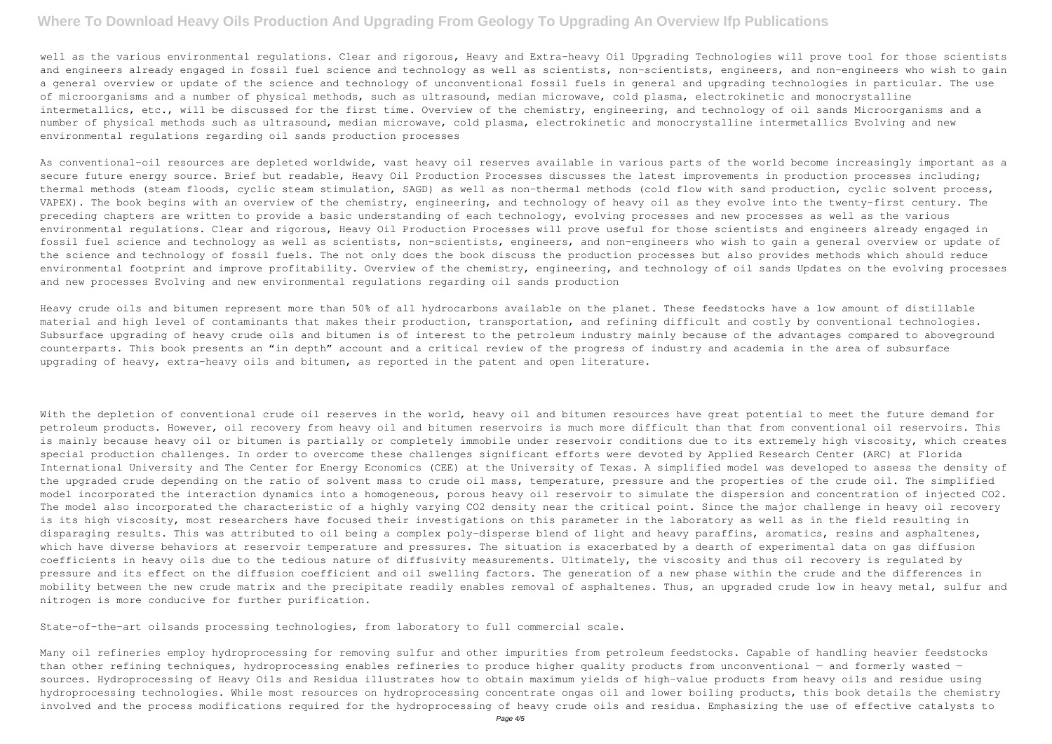## **Where To Download Heavy Oils Production And Upgrading From Geology To Upgrading An Overview Ifp Publications**

well as the various environmental regulations. Clear and rigorous, Heavy and Extra-heavy Oil Upgrading Technologies will prove tool for those scientists and engineers already engaged in fossil fuel science and technology as well as scientists, non-scientists, engineers, and non-engineers who wish to gain a general overview or update of the science and technology of unconventional fossil fuels in general and upgrading technologies in particular. The use of microorganisms and a number of physical methods, such as ultrasound, median microwave, cold plasma, electrokinetic and monocrystalline intermetallics, etc., will be discussed for the first time. Overview of the chemistry, engineering, and technology of oil sands Microorganisms and a number of physical methods such as ultrasound, median microwave, cold plasma, electrokinetic and monocrystalline intermetallics Evolving and new environmental regulations regarding oil sands production processes

As conventional-oil resources are depleted worldwide, vast heavy oil reserves available in various parts of the world become increasingly important as a secure future energy source. Brief but readable, Heavy Oil Production Processes discusses the latest improvements in production processes including; thermal methods (steam floods, cyclic steam stimulation, SAGD) as well as non-thermal methods (cold flow with sand production, cyclic solvent process, VAPEX). The book begins with an overview of the chemistry, engineering, and technology of heavy oil as they evolve into the twenty-first century. The preceding chapters are written to provide a basic understanding of each technology, evolving processes and new processes as well as the various environmental regulations. Clear and rigorous, Heavy Oil Production Processes will prove useful for those scientists and engineers already engaged in fossil fuel science and technology as well as scientists, non-scientists, engineers, and non-engineers who wish to gain a general overview or update of the science and technology of fossil fuels. The not only does the book discuss the production processes but also provides methods which should reduce environmental footprint and improve profitability. Overview of the chemistry, engineering, and technology of oil sands Updates on the evolving processes and new processes Evolving and new environmental regulations regarding oil sands production

With the depletion of conventional crude oil reserves in the world, heavy oil and bitumen resources have great potential to meet the future demand for petroleum products. However, oil recovery from heavy oil and bitumen reservoirs is much more difficult than that from conventional oil reservoirs. This is mainly because heavy oil or bitumen is partially or completely immobile under reservoir conditions due to its extremely high viscosity, which creates special production challenges. In order to overcome these challenges significant efforts were devoted by Applied Research Center (ARC) at Florida International University and The Center for Energy Economics (CEE) at the University of Texas. A simplified model was developed to assess the density of the upgraded crude depending on the ratio of solvent mass to crude oil mass, temperature, pressure and the properties of the crude oil. The simplified model incorporated the interaction dynamics into a homogeneous, porous heavy oil reservoir to simulate the dispersion and concentration of injected CO2. The model also incorporated the characteristic of a highly varying CO2 density near the critical point. Since the major challenge in heavy oil recovery is its high viscosity, most researchers have focused their investigations on this parameter in the laboratory as well as in the field resulting in disparaging results. This was attributed to oil being a complex poly-disperse blend of light and heavy paraffins, aromatics, resins and asphaltenes, which have diverse behaviors at reservoir temperature and pressures. The situation is exacerbated by a dearth of experimental data on gas diffusion coefficients in heavy oils due to the tedious nature of diffusivity measurements. Ultimately, the viscosity and thus oil recovery is regulated by pressure and its effect on the diffusion coefficient and oil swelling factors. The generation of a new phase within the crude and the differences in mobility between the new crude matrix and the precipitate readily enables removal of asphaltenes. Thus, an upgraded crude low in heavy metal, sulfur and nitrogen is more conducive for further purification.

Heavy crude oils and bitumen represent more than 50% of all hydrocarbons available on the planet. These feedstocks have a low amount of distillable material and high level of contaminants that makes their production, transportation, and refining difficult and costly by conventional technologies. Subsurface upgrading of heavy crude oils and bitumen is of interest to the petroleum industry mainly because of the advantages compared to aboveground counterparts. This book presents an "in depth" account and a critical review of the progress of industry and academia in the area of subsurface upgrading of heavy, extra-heavy oils and bitumen, as reported in the patent and open literature.

State-of-the-art oilsands processing technologies, from laboratory to full commercial scale.

Many oil refineries employ hydroprocessing for removing sulfur and other impurities from petroleum feedstocks. Capable of handling heavier feedstocks than other refining techniques, hydroprocessing enables refineries to produce higher quality products from unconventional - and formerly wasted sources. Hydroprocessing of Heavy Oils and Residua illustrates how to obtain maximum yields of high-value products from heavy oils and residue using hydroprocessing technologies. While most resources on hydroprocessing concentrate ongas oil and lower boiling products, this book details the chemistry involved and the process modifications required for the hydroprocessing of heavy crude oils and residua. Emphasizing the use of effective catalysts to